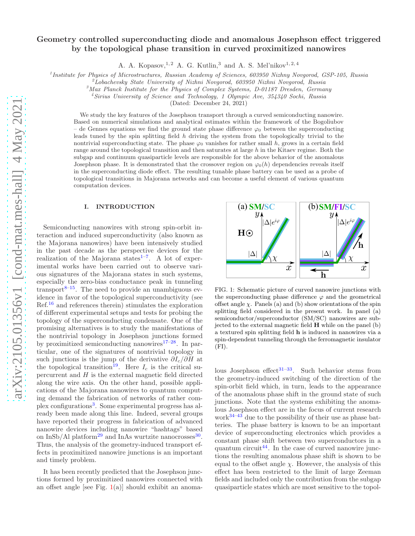# Geometry controlled superconducting diode and anomalous Josephson effect triggered by the topological phase transition in curved proximitized nanowires

A. A. Kopasov,<sup>1,2</sup> A. G. Kutlin,<sup>3</sup> and A. S. Mel'nikov<sup>1,2,4</sup>

<sup>1</sup> Institute for Physics of Microstructures, Russian Academy of Sciences, 603950 Nizhny Novgorod, GSP-105, Russia

 $^{2}$ Lobachevsky State University of Nizhni Novgorod, 603950 Nizhni Novgorod, Russia

 $3$ Max Planck Institute for the Physics of Complex Systems, D-01187 Dresden, Germany

<sup>4</sup>Sirius University of Science and Technology, 1 Olympic Ave, 354340 Sochi, Russia

(Dated: December 24, 2021)

We study the key features of the Josephson transport through a curved semiconducting nanowire. Based on numerical simulations and analytical estimates within the framework of the Bogoliubov de Gennes equations we find the ground state phase difference  $\varphi_0$  between the superconducting leads tuned by the spin splitting field  $h$  driving the system from the topologically trivial to the nontrivial superconducting state. The phase  $\varphi_0$  vanishes for rather small h, grows in a certain field range around the topological transition and then saturates at large h in the Kitaev regime. Both the subgap and continuum quasiparticle levels are responsible for the above behavior of the anomalous Josephson phase. It is demonstrated that the crossover region on  $\varphi_0(h)$  dependencies reveals itself in the superconducting diode effect. The resulting tunable phase battery can be used as a probe of topological transitions in Majorana networks and can become a useful element of various quantum computation devices.

#### I. INTRODUCTION

Semiconducting nanowires with strong spin-orbit interaction and induced superconductivity (also known as the Majorana nanowires) have been intensively studied in the past decade as the perspective devices for the realization of the Majorana states $1^{-7}$  $1^{-7}$ . A lot of experimental works have been carried out to observe various signatures of the Majorana states in such systems, especially the zero-bias conductance peak in tunneling transport $8-15$  $8-15$ . The need to provide an unambiguous evidence in favor of the topological superconductivity (see Ref.[16](#page-11-3) and references therein) stimulates the exploration of different experimental setups and tests for probing the topology of the superconducting condensate. One of the promising alternatives is to study the manifestations of the nontrivial topology in Josephson junctions formed by proximitized semiconducting nanowires<sup>[17](#page-11-4)[–28](#page-11-5)</sup>. In particular, one of the signatures of nontrivial topology in such junctions is the jump of the derivative  $\partial I_c/\partial H$  at the topological transition<sup>[19](#page-11-6)</sup>. Here  $I_c$  is the critical supercurrent and  $H$  is the external magnetic field directed along the wire axis. On the other hand, possible applications of the Majorana nanowires to quantum computing demand the fabrication of networks of rather com-plex configurations<sup>[3](#page-10-1)</sup>. Some experimental progress has already been made along this line. Indeed, several groups have reported their progress in fabrication of advanced nanowire devices including nanowire "hashtags" based on InSb/Al platform<sup>[29](#page-11-7)</sup> and InAs wurtzite nanocrosses<sup>[30](#page-11-8)</sup>. Thus, the analysis of the geometry-induced transport effects in proximitized nanowire junctions is an important and timely problem.

It has been recently predicted that the Josephson junctions formed by proximitized nanowires connected with an offset angle [see Fig.  $1(a)$  $1(a)$ ] should exhibit an anoma-

<span id="page-0-0"></span>

FIG. 1: Schematic picture of curved nanowire junctions with the superconducting phase difference  $\varphi$  and the geometrical offset angle  $\chi$ . Panels (a) and (b) show orientations of the spin splitting field considered in the present work. In panel (a) semiconductor/superconductor (SM/SC) nanowires are subjected to the external magnetic field H while on the panel (b) a textured spin splitting field h is induced in nanowires via a spin-dependent tunneling through the ferromagnetic insulator  $(FI).$ 

lous Josephson effect<sup>[31](#page-11-9)[–33](#page-11-10)</sup>. Such behavior stems from the geometry-induced switching of the direction of the spin-orbit field which, in turn, leads to the appearance of the anomalous phase shift in the ground state of such junctions. Note that the systems exhibiting the anomalous Josephson effect are in the focus of current research work $34-43$  $34-43$  due to the possibility of their use as phase batteries. The phase battery is known to be an important device of superconducting electronics which provides a constant phase shift between two superconductors in a quantum circuit<sup>[44](#page-12-1)</sup>. In the case of curved nanowire junctions the resulting anomalous phase shift is shown to be equal to the offset angle  $\chi$ . However, the analysis of this effect has been restricted to the limit of large Zeeman fields and included only the contribution from the subgap quasiparticle states which are most sensitive to the topol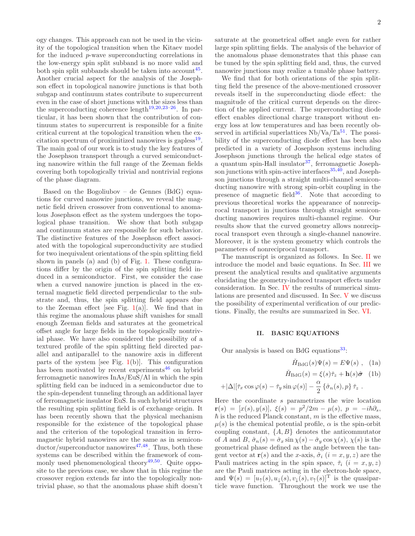ogy changes. This approach can not be used in the vicinity of the topological transition when the Kitaev model for the induced p-wave superconducting correlations in the low-energy spin split subband is no more valid and both spin split subbands should be taken into account<sup>[45](#page-12-2)</sup>. Another crucial aspect for the analysis of the Josephson effect in topological nanowire junctions is that both subgap and continuum states contribute to supercurrent even in the case of short junctions with the sizes less than the superconducting coherence length<sup>[19](#page-11-6)[,20](#page-11-12)[,23](#page-11-13)[–26](#page-11-14)</sup>. In particular, it has been shown that the contribution of continuum states to supercurrent is responsible for a finite critical current at the topological transition when the ex-citation spectrum of proximitized nanowires is gapless<sup>[19](#page-11-6)</sup>. The main goal of our work is to study the key features of the Josephson transport through a curved semiconducting nanowire within the full range of the Zeeman fields covering both topologically trivial and nontrivial regions of the phase diagram.

Based on the Bogoliubov – de Gennes (BdG) equations for curved nanowire junctions, we reveal the magnetic field driven crossover from conventional to anomalous Josephson effect as the system undergoes the topological phase transition. We show that both subgap and continuum states are responsible for such behavior. The distinctive features of the Josephson effect associated with the topological superconductivity are studied for two inequivalent orientations of the spin splitting field shown in panels (a) and (b) of Fig. [1.](#page-0-0) These configurations differ by the origin of the spin splitting field induced in a semiconductor. First, we consider the case when a curved nanowire junction is placed in the external magnetic field directed perpendicular to the substrate and, thus, the spin splitting field appears due to the Zeeman effect [see Fig.  $1(a)$  $1(a)$ ]. We find that in this regime the anomalous phase shift vanishes for small enough Zeeman fields and saturates at the geometrical offset angle for large fields in the topologically nontrivial phase. We have also considered the possibility of a textured profile of the spin splitting field directed parallel and antiparallel to the nanowire axis in different parts of the system [see Fig.  $1(b)$  $1(b)$ ]. This configuration has been motivated by recent experiments<sup>[46](#page-12-3)</sup> on hybrid ferromagnetic nanowires InAs/EuS/Al in which the spin splitting field can be induced in a semiconductor due to the spin-dependent tunneling through an additional layer of ferromagnetic insulator EuS. In such hybrid structures the resulting spin splitting field is of exchange origin. It has been recently shown that the physical mechanism responsible for the existence of the topological phase and the criterion of the topological transition in ferromagnetic hybrid nanowires are the same as in semicon- $\frac{ductor}{superconductor}$  nanowires<sup>[47](#page-12-4)[,48](#page-12-5)</sup>. Thus, both these systems can be described within the framework of com-monly used phenomenological theory<sup>[49](#page-12-6)[,50](#page-12-7)</sup>. Quite opposite to the previous case, we show that in this regime the crossover region extends far into the topologically nontrivial phase, so that the anomalous phase shift doesn't

saturate at the geometrical offset angle even for rather large spin splitting fields. The analysis of the behavior of the anomalous phase demonstrates that this phase can be tuned by the spin splitting field and, thus, the curved nanowire junctions may realize a tunable phase battery.

We find that for both orientations of the spin splitting field the presence of the above-mentioned crossover reveals itself in the superconducting diode effect: the magnitude of the critical current depends on the direction of the applied current. The superconducting diode effect enables directional charge transport without energy loss at low temperatures and has been recently observed in artificial superlattices  $Nb/Va/Ta^{51}$  $Nb/Va/Ta^{51}$  $Nb/Va/Ta^{51}$ . The possibility of the superconducting diode effect has been also predicted in a variety of Josephson systems including Josephson junctions through the helical edge states of a quantum spin-Hall insulator $37$ , ferromagnetic Josephson junctions with spin-active interfaces  $35,40$  $35,40$ , and Josephson junctions through a straight multi-channel semiconducting nanowire with strong spin-orbit coupling in the presence of magnetic field $36$ . Note that according to previous theoretical works the appearance of nonreciprocal transport in junctions through straight semiconducting nanowires requires multi-channel regime. Our results show that the curved geometry allows nonreciprocal transport even through a single-channel nanowire. Moreover, it is the system geometry which controls the parameters of nonreciprocal transport.

The manuscript is organized as follows. In Sec. [II](#page-1-0) we introduce the model and basic equations. In Sec. [III](#page-2-0) we present the analytical results and qualitative arguments elucidating the geometry-induced transport effects under consideration. In Sec. [IV](#page-4-0) the results of numerical simulations are presented and discussed. In Sec. [V](#page-8-0) we discuss the possibility of experimental verification of our predictions. Finally, the results are summarized in Sec. [VI.](#page-8-1)

#### <span id="page-1-0"></span>II. BASIC EQUATIONS

Our analysis is based on BdG equations $33$ :

<span id="page-1-2"></span><span id="page-1-1"></span>
$$
\check{H}_{\text{BdG}}(s)\Psi(s) = E\Psi(s) , \quad (1a)
$$

$$
\check{H}_{\text{BdG}}(s) = \xi(s)\check{\tau}_z + \mathbf{h}(s)\hat{\boldsymbol{\sigma}} \quad (1b)
$$

$$
+|\Delta|[\check{\tau}_x\cos\varphi(s)-\check{\tau}_y\sin\varphi(s)]-\frac{\alpha}{2}\{\hat{\sigma}_n(s),p\}\check{\tau}_z.
$$

Here the coordinate s parametrizes the wire location  $\mathbf{r}(s) = [x(s), y(s)], \xi(s) = p^2/2m - \mu(s), p = -i\hbar\partial_s,$  $\hbar$  is the reduced Planck constant, m is the effective mass,  $\mu(s)$  is the chemical potential profile,  $\alpha$  is the spin-orbit coupling constant,  $\{A, B\}$  denotes the anticommutator of A and B,  $\hat{\sigma}_n(s) = \hat{\sigma}_x \sin \chi(s) - \hat{\sigma}_y \cos \chi(s)$ ,  $\chi(s)$  is the geometrical phase defined as the angle between the tangent vector at  $r(s)$  and the x-axis,  $\hat{\sigma}_i$   $(i = x, y, z)$  are the Pauli matrices acting in the spin space,  $\check{\tau}_i$   $(i = x, y, z)$ are the Pauli matrices acting in the electron-hole space, and  $\Psi(s) = [u_{\uparrow}(s), u_{\downarrow}(s), v_{\downarrow}(s), v_{\uparrow}(s)]^{\text{T}}$  is the quasiparticle wave function. Throughout the work we use the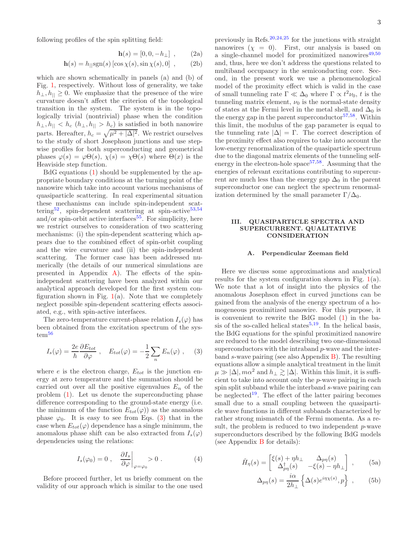following profiles of the spin splitting field:

$$
\mathbf{h}(s) = [0, 0, -h_{\perp}] , \qquad (2a)
$$

$$
\mathbf{h}(s) = h_{\parallel} \text{sgn}(s) \left[ \cos \chi(s), \sin \chi(s), 0 \right] , \quad (2b)
$$

which are shown schematically in panels (a) and (b) of Fig. [1,](#page-0-0) respectively. Without loss of generality, we take  $h_{\perp}, h_{\parallel} \geq 0$ . We emphasize that the presence of the wire curvature doesn't affect the criterion of the topological transition in the system. The system is in the topologically trivial (nontrivial) phase when the condition  $h_{\perp}, h_{\parallel} < h_c$   $(h_{\perp}, h_{\parallel} > h_c)$  is satisfied in both nanowire parts. Hereafter,  $h_c = \sqrt{\mu^2 + |\Delta|^2}$ . We restrict ourselves to the study of short Josephson junctions and use stepwise profiles for both superconducting and geometrical phases  $\varphi(s) = \varphi \Theta(s)$ ,  $\chi(s) = \chi \Theta(s)$  where  $\Theta(x)$  is the Heaviside step function.

BdG equations [\(1\)](#page-1-1) should be supplemented by the appropriate boundary conditions at the turning point of the nanowire which take into account various mechanisms of quasiparticle scattering. In real experimental situation these mechanisms can include spin-independent scat-tering<sup>[52](#page-12-12)</sup>, spin-dependent scattering at spin-active<sup>[53](#page-12-13)[,54](#page-12-14)</sup> and/or spin-orbit active interfaces<sup>[55](#page-12-15)</sup>. For simplicity, here we restrict ourselves to consideration of two scattering mechanisms: (i) the spin-dependent scattering which appears due to the combined effect of spin-orbit coupling and the wire curvature and (ii) the spin-independent scattering. The former case has been addressed numerically (the details of our numerical simulations are presented in Appendix  $\bf{A}$ ). The effects of the spinindependent scattering have been analyzed within our analytical approach developed for the first system configuration shown in Fig.  $1(a)$  $1(a)$ . Note that we completely neglect possible spin-dependent scattering effects associated, e.g., with spin-active interfaces.

The zero-temperature current-phase relation  $I_s(\varphi)$  has been obtained from the excitation spectrum of the sys-tem<sup>[56](#page-12-16)</sup>

<span id="page-2-1"></span>
$$
I_s(\varphi) = \frac{2e}{\hbar} \frac{\partial E_{tot}}{\partial \varphi} , \quad E_{tot}(\varphi) = -\frac{1}{2} \sum_n E_n(\varphi) , \quad (3)
$$

where  $e$  is the electron charge,  $E_{tot}$  is the junction energy at zero temperature and the summation should be carried out over all the positive eigenvalues  $E_n$  of the problem [\(1\)](#page-1-1). Let us denote the superconducting phase difference corresponding to the ground-state energy (i.e. the minimum of the function  $E_{tot}(\varphi)$  as the anomalous phase  $\varphi_0$ . It is easy to see from Eqs. [\(3\)](#page-2-1) that in the case when  $E_{tot}(\varphi)$  dependence has a single minimum, the anomalous phase shift can be also extracted from  $I_s(\varphi)$ dependencies using the relations:

$$
I_s(\varphi_0) = 0 \;, \quad \frac{\partial I_s}{\partial \varphi}\bigg|_{\varphi = \varphi_0} > 0 \; . \tag{4}
$$

Before proceed further, let us briefly comment on the validity of our approach which is similar to the one used

<span id="page-2-5"></span><span id="page-2-4"></span>previously in Refs. $20,24,25$  $20,24,25$  $20,24,25$  for the junctions with straight nanowires  $(\chi = 0)$ . First, our analysis is based on a single-channel model for proximitized nanowires $49,50$  $49,50$ and, thus, here we don't address the questions related to multiband occupancy in the semiconducting core. Second, in the present work we use a phenomenological model of the proximity effect which is valid in the case of small tunneling rate  $\Gamma \ll \Delta_0$  where  $\Gamma \propto t^2 \nu_0$ , t is the tunneling matrix element,  $\nu_0$  is the normal-state density of states at the Fermi level in the metal shell, and  $\Delta_0$  is the energy gap in the parent superconductor  $57,58$  $57,58$ . Within this limit, the modulus of the gap parameter is equal to the tunneling rate  $|\Delta| = \Gamma$ . The correct description of the proximity effect also requires to take into account the low-energy renormalization of the quasiparticle spectrum due to the diagonal matrix elements of the tunneling selfenergy in the electron-hole space<sup> $57,58$  $57,58$ </sup>. Assuming that the energies of relevant excitations contributing to supercurrent are much less than the energy gap  $\Delta_0$  in the parent superconductor one can neglect the spectrum renormalization determined by the small parameter  $\Gamma/\Delta_0$ .

### <span id="page-2-0"></span>III. QUASIPARTICLE SPECTRA AND SUPERCURRENT. QUALITATIVE CONSIDERATION

#### A. Perpendicular Zeeman field

Here we discuss some approximations and analytical results for the system configuration shown in Fig.  $1(a)$  $1(a)$ . We note that a lot of insight into the physics of the anomalous Josephson effect in curved junctions can be gained from the analysis of the energy spectrum of a homogeneous proximitized nanowire. For this purpose, it is convenient to rewrite the BdG model [\(1\)](#page-1-1) in the ba-sis of the so-called helical states<sup>[5](#page-11-18)[,19](#page-11-6)</sup>. In the helical basis, the BdG equations for the spinful proximitized nanowire are reduced to the model describing two one-dimensional superconductors with the intraband p-wave and the interband s-wave pairing (see also Appendix [B\)](#page-9-1). The resulting equations allow a simple analytical treatment in the limit  $\mu \gg |\Delta|$ ,  $m\alpha^2$  and  $h_{\perp} \gtrsim |\Delta|$ . Within this limit, it is sufficient to take into account only the p-wave pairing in each spin split subband while the interband s-wave pairing can be neglected<sup>[19](#page-11-6)</sup>. The effect of the latter pairing becomes small due to a small coupling between the quasiparticle wave functions in different subbands characterized by rather strong mismatch of the Fermi momenta. As a result, the problem is reduced to two independent  $p$ -wave superconductors described by the following BdG models (see Appendix [B](#page-9-1) for details):

$$
\check{H}_{\eta}(s) = \begin{bmatrix} \xi(s) + \eta h_{\perp} & \Delta_{p\eta}(s) \\ \Delta_{p\eta}^{\dagger}(s) & -\xi(s) - \eta h_{\perp} \end{bmatrix} , \qquad (5a)
$$

<span id="page-2-6"></span><span id="page-2-3"></span><span id="page-2-2"></span>
$$
\Delta_{p\eta}(s) = \frac{i\alpha}{2h_{\perp}} \left\{ \Delta(s)e^{i\eta\chi(s)}, p \right\} ,\qquad(5b)
$$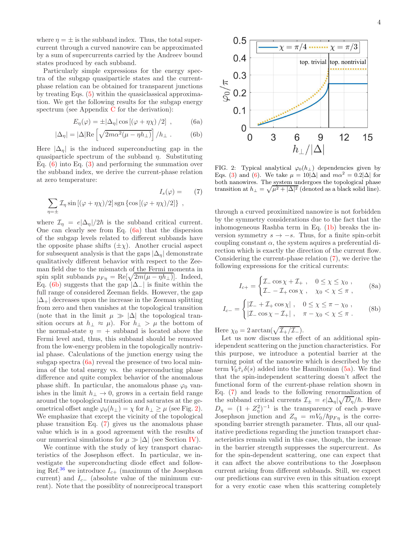where  $\eta = \pm$  is the subband index. Thus, the total supercurrent through a curved nanowire can be approximated by a sum of supercurrents carried by the Andreev bound states produced by each subband.

Particularly simple expressions for the energy spectra of the subgap quasiparticle states and the currentphase relation can be obtained for transparent junctions by treating Eqs. [\(5\)](#page-2-2) within the quasiclassical approximation. We get the following results for the subgap energy spectrum (see Appendix [C](#page-10-2) for the derivation):

$$
E_{\eta}(\varphi) = \pm |\Delta_{\eta}| \cos [(\varphi + \eta \chi)/2], \qquad (6a)
$$

$$
|\Delta_{\eta}| = |\Delta| \text{Re}\left[\sqrt{2m\alpha^2(\mu - \eta h_{\perp})}\right] / h_{\perp} . \tag{6b}
$$

Here  $|\Delta_{\eta}|$  is the induced superconducting gap in the quasiparticle spectrum of the subband  $\eta$ . Substituting Eq. [\(6\)](#page-3-0) into Eq. [\(3\)](#page-2-1) and performing the summation over the subband index, we derive the current-phase relation at zero temperature:

$$
I_s(\varphi) = \sum_{\eta = \pm} \mathcal{I}_{\eta} \sin\left[ (\varphi + \eta \chi)/2 \right] \operatorname{sgn} \left\{ \cos\left[ (\varphi + \eta \chi)/2 \right] \right\} ,
$$
 (7)

where  $\mathcal{I}_{\eta} = e|\Delta_{\eta}|/2\hbar$  is the subband critical current. One can clearly see from Eq. [\(6a\)](#page-3-1) that the dispersion of the subgap levels related to different subbands have the opposite phase shifts  $(\pm \chi)$ . Another crucial aspect for subsequent analysis is that the gaps  $|\Delta_n|$  demonstrate qualitatively different behavior with respect to the Zeeman field due to the mismatch of the Fermi momenta in spin split subbands  $p_{F\eta} = \text{Re}[\sqrt{2m(\mu - \eta h_{\perp})}]$ . Indeed, Eq. [\(6b\)](#page-3-2) suggests that the gap  $|\Delta_-\|$  is finite within the full range of considered Zeeman fields. However, the gap  $|\Delta_+|$  decreases upon the increase in the Zeeman splitting from zero and then vanishes at the topological transition (note that in the limit  $\mu \gg |\Delta|$  the topological transition occurs at  $h_{\perp} \approx \mu$ ). For  $h_{\perp} > \mu$  the bottom of the normal-state  $\eta = +$  subband is located above the Fermi level and, thus, this subband should be removed from the low-energy problem in the topologically nontrivial phase. Calculations of the junction energy using the subgap spectra [\(6a\)](#page-3-1) reveal the presence of two local minima of the total energy vs. the superconducting phase difference and quite complex behavior of the anomalous phase shift. In particular, the anomalous phase  $\varphi_0$  vanishes in the limit  $h_{\perp} \to 0$ , grows in a certain field range around the topological transition and saturates at the geometrical offset angle  $\varphi_0(h_\perp) = \chi$  for  $h_\perp \geq \mu$  (see Fig. [2\)](#page-3-3). We emphasize that except the vicinity of the topological phase transition Eq. [\(7\)](#page-3-4) gives us the anomalous phase value which is in a good agreement with the results of our numerical simulations for  $\mu \gg |\Delta|$  (see Section [IV\)](#page-4-0).

We continue with the study of key transport characteristics of the Josephson effect. In particular, we investigate the superconducting diode effect and follow-ing Ref.<sup>[36](#page-12-11)</sup> we introduce  $I_{c+}$  (maximum of the Josephson current) and  $I_{c-}$  (absolute value of the minimum current). Note that the possiblity of nonreciprocal transport

<span id="page-3-3"></span>

<span id="page-3-2"></span><span id="page-3-1"></span><span id="page-3-0"></span>FIG. 2: Typical analytical  $\varphi_0(h_\perp)$  dependencies given by Eqs. [\(3\)](#page-2-1) and [\(6\)](#page-3-0). We take  $\mu = 10|\Delta|$  and  $m\alpha^2 = 0.2|\Delta|$  for both nanowires. The system undergoes the topological phase transition at  $h_{\perp} = \sqrt{\mu^2 + |\Delta|^2}$  (denoted as a black solid line).

<span id="page-3-4"></span>through a curved proximitized nanowire is not forbidden by the symmetry considerations due to the fact that the inhomogeneous Rashba term in Eq. [\(1b\)](#page-1-2) breaks the inversion symmetry  $s \to -s$ . Thus, for a finite spin-orbit coupling constant  $\alpha$ , the system aquires a preferential direction which is exactly the direction of the current flow. Considering the current-phase relation [\(7\)](#page-3-4), we derive the following expressions for the critical currents:

$$
I_{c+} = \begin{cases} \mathcal{I}_{-} \cos \chi + \mathcal{I}_{+} , & 0 \le \chi \le \chi_{0} ,\\ \mathcal{I}_{-} - \mathcal{I}_{+} \cos \chi , & \chi_{0} < \chi \le \pi , \end{cases}
$$
 (8a)

$$
I_{c-} = \begin{cases} |\mathcal{I}_{-} + \mathcal{I}_{+} \cos \chi|, & 0 \le \chi \le \pi - \chi_{0}, \\ |\mathcal{I}_{-} \cos \chi - \mathcal{I}_{+}|, & \pi - \chi_{0} < \chi \le \pi. \end{cases}
$$
 (8b)

Here  $\chi_0 = 2 \arctan(\sqrt{\mathcal{I}_+/\mathcal{I}_-}).$ 

Let us now discuss the effect of an additional spinidependent scattering on the junction characteristics. For this purpose, we introduce a potential barrier at the turning point of the nanowire which is described by the term  $V_0 \tilde{\tau}_z \delta(s)$  added into the Hamiltonian [\(5a\)](#page-2-3). We find that the spin-independent scattering doesn't affect the functional form of the current-phase relation shown in Eq. [\(7\)](#page-3-4) and leads to the following renormalization of the subband critical currents  $\mathcal{I}_{\pm} = e|\Delta_{\eta}| \sqrt{D_{\eta}}/\hbar$ . Here  $D_{\eta} = (1 + Z_{\eta}^2)^{-1}$  is the transparency of each p-wave Josephson junction and  $Z_{\eta} = mV_0/\hbar p_{F\eta}$  is the corresponding barrier strength parameter. Thus, all our qualitative predictions regarding the junction transport characteristics remain valid in this case, though, the increase in the barrier strength suppresses the supercurrent. As for the spin-dependent scattering, one can expect that it can affect the above contributions to the Josephson current arising from different subbands. Still, we expect our predictions can survive even in this situation except for a very exotic case when this scattering completely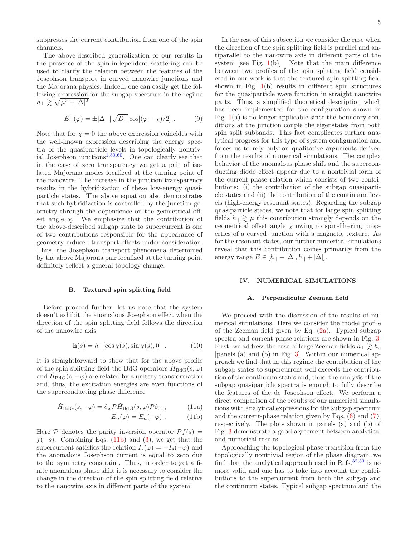suppresses the current contribution from one of the spin channels.

The above-described generalization of our results in the presence of the spin-independent scattering can be used to clarify the relation between the features of the Josephson transport in curved nanowire junctions and the Majorana physics. Indeed, one can easily get the following expression for the subgap spectrum in the regime  $h_\perp \gtrsim \sqrt{\mu^2 + |\Delta|^2}$ 

$$
E_{-}(\varphi) = \pm |\Delta_{-}| \sqrt{D_{-}} \cos[(\varphi - \chi)/2]. \qquad (9)
$$

Note that for  $\chi = 0$  the above expression coincides with the well-known expression describing the energy spectra of the quasiparticle levels in topologically nontrivial Josephson junctions[1](#page-10-0)[,59](#page-12-19)[,60](#page-12-20). One can clearly see that in the case of zero transparency we get a pair of isolated Majorana modes localized at the turning point of the nanowire. The increase in the junction transparency results in the hybridization of these low-energy quasiparticle states. The above equation also demonstrates that such hybridization is controlled by the junction geometry through the dependence on the geometrical offset angle  $\chi$ . We emphasize that the contribution of the above-described subgap state to supercurrent is one of two contributions responsible for the appearance of geometry-induced transport effects under consideration. Thus, the Josephson transport phenomena determined by the above Majorana pair localized at the turning point definitely reflect a general topology change.

### B. Textured spin splitting field

Before proceed further, let us note that the system doesn't exhibit the anomalous Josephson effect when the direction of the spin splitting field follows the direction of the nanowire axis

$$
\mathbf{h}(s) = h_{\parallel} \left[ \cos \chi(s), \sin \chi(s), 0 \right] . \tag{10}
$$

It is straightforward to show that for the above profile of the spin splitting field the BdG operators  $H_{BdG}(s, \varphi)$ and  $H_{\text{BdG}}(s, -\varphi)$  are related by a unitary transformation and, thus, the excitation energies are even functions of the superconducting phase difference

$$
\check{H}_{\text{BdG}}(s, -\varphi) = \hat{\sigma}_x \mathcal{P} \check{H}_{\text{BdG}}(s, \varphi) \mathcal{P} \hat{\sigma}_x , \qquad (11a)
$$

$$
E_n(\varphi) = E_n(-\varphi) . \qquad (11b)
$$

Here  $P$  denotes the parity inversion operator  $Pf(s) =$  $f(-s)$ . Combining Eqs. [\(11b\)](#page-4-1) and [\(3\)](#page-2-1), we get that the supercurrent satisfies the relation  $I_s(\varphi) = -I_s(-\varphi)$  and the anomalous Josephson current is equal to zero due to the symmetry constraint. Thus, in order to get a finite anomalous phase shift it is necessary to consider the change in the direction of the spin splitting field relative to the nanowire axis in different parts of the system.

In the rest of this subsection we consider the case when the direction of the spin splitting field is parallel and antiparallel to the nanowire axis in different parts of the system [see Fig.  $1(b)$  $1(b)$ ]. Note that the main difference between two profiles of the spin splitting field considered in our work is that the textured spin splitting field shown in Fig.  $1(b)$  $1(b)$  results in different spin structures for the quasiparticle wave function in straight nanowire parts. Thus, a simplified theoretical description which has been implemented for the configuration shown in Fig.  $1(a)$  $1(a)$  is no longer applicable since the boundary conditions at the junction couple the eigenstates from both spin split subbands. This fact complicates further analytical progress for this type of system configuration and forces us to rely only on qualitative arguments derived from the results of numerical simulations. The complex behavior of the anomalous phase shift and the superconducting diode effect appear due to a nontrivial form of the current-phase relation which consists of two contributions: (i) the contribution of the subgap quasiparticle states and (ii) the contribution of the continuum levels (high-energy resonant states). Regarding the subgap quasiparticle states, we note that for large spin splitting fields  $h_{\parallel} \gtrsim \mu$  this contribution strongly depends on the geometrical offset angle  $\chi$  owing to spin-filtering properties of a curved junction with a magnetic texture. As for the resonant states, our further numerical simulations reveal that this contribution comes primarily from the energy range  $E \in [h_{\parallel} - |\Delta|, h_{\parallel} + |\Delta|].$ 

### <span id="page-4-0"></span>IV. NUMERICAL SIMULATIONS

#### Perpendicular Zeeman field

We proceed with the discussion of the results of numerical simulations. Here we consider the model profile of the Zeeman field given by Eq.  $(2a)$ . Typical subgap spectra and current-phase relations are shown in Fig. [3.](#page-5-0) First, we address the case of large Zeeman fields  $h_{\perp} \gtrsim h_c$ [panels (a) and (b) in Fig. [3\]](#page-5-0). Within our numerical approach we find that in this regime the contribution of the subgap states to supercurrent well exceeds the contribution of the continuum states and, thus, the analysis of the subgap quasiparticle spectra is enough to fully describe the features of the dc Josephson effect. We perform a direct comparison of the results of our numerical simulations with analytical expressions for the subgap spectrum and the current-phase relation given by Eqs. [\(6\)](#page-3-0) and [\(7\)](#page-3-4), respectively. The plots shown in panels (a) and (b) of Fig. [3](#page-5-0) demonstrate a good agreement between analytical and numerical results.

<span id="page-4-1"></span>Approaching the topological phase transition from the topologically nontrivial region of the phase diagram, we find that the analytical approach used in Refs.<sup>[32](#page-11-19)[,33](#page-11-10)</sup> is no more valid and one has to take into account the contributions to the supercurrent from both the subgap and the continuum states. Typical subgap spectrum and the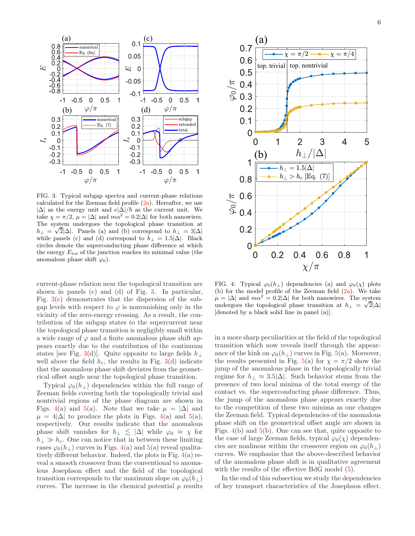<span id="page-5-0"></span>

FIG. 3: Typical subgap spectra and current-phase relations calculated for the Zeeman field profile  $(2a)$ . Hereafter, we use  $|\Delta|$  as the energy unit and  $e|\Delta|/\hbar$  as the current unit. We take  $\chi = \pi/2$ ,  $\mu = |\Delta|$  and  $m\alpha^2 = 0.2|\Delta|$  for both nanowires. The system undergoes the topological phase transition at  $h_{\perp} = \sqrt{2}|\Delta|$ . Panels (a) and (b) correspond to  $h_{\perp} = 3|\Delta|$ while panels (c) and (d) correspond to  $h_{\perp} = 1.5|\Delta|$ . Black circles denote the superconducting phase difference at which the energy  $E_{tot}$  of the junction reaches its minimal value (the anomalous phase shift  $\varphi_0$ ).

current-phase relation near the topological transition are shown in panels (c) and (d) of Fig. [3.](#page-5-0) In particular, Fig. [3\(](#page-5-0)c) demonstrates that the dispersion of the subgap levels with respect to  $\varphi$  is nonvanishing only in the vicinity of the zero-energy crossing. As a result, the contribution of the subgap states to the supercurrent near the topological phase transition is negligibly small within a wide range of  $\varphi$  and a finite anomalous phase shift appears exactly due to the contribution of the continuum states [see Fig. [3\(](#page-5-0)d)]. Quite opposite to large fields  $h_{\perp}$ well above the field  $h_c$ , the results in Fig. [3\(](#page-5-0)d) indicate that the anomalous phase shift deviates from the geometrical offset angle near the topological phase transition.

Typical  $\varphi_0(h_+)$  dependencies within the full range of Zeeman fields covering both the topologically trivial and nontrivial regions of the phase diagram are shown in Figs. [4\(](#page-5-1)a) and [5\(](#page-6-0)a). Note that we take  $\mu = |\Delta|$  and  $\mu = 4|\Delta|$  to produce the plots in Figs. [4\(](#page-5-1)a) and [5\(](#page-6-0)a), respectively. Our results indicate that the anomalous phase shift vanishes for  $h_{\perp} \leq |\Delta|$  while  $\varphi_0 \approx \chi$  for  $h_{\perp} \gg h_c$ . One can notice that in between these limiting cases  $\varphi_0(h_\perp)$  curves in Figs. [4\(](#page-5-1)a) and [5\(](#page-6-0)a) reveal qualitatively different behavior. Indeed, the plots in Fig. [4\(](#page-5-1)a) reveal a smooth crossover from the conventional to anomalous Josephson effect and the field of the topological transition corresponds to the maximum slope on  $\varphi_0(h_\perp)$ curves. The increase in the chemical potential  $\mu$  results

<span id="page-5-1"></span>

FIG. 4: Typical  $\varphi_0(h_\perp)$  dependencies (a) and  $\varphi_0(\chi)$  plots (b) for the model profile of the Zeeman field  $(2a)$ . We take  $\mu = |\Delta|$  and  $m\alpha^2 = 0.2|\Delta|$  for both nanowires. The system  $\mu$  |  $\Box$ | and that  $\Box$ | isometric indication at  $h_{\bot} = \sqrt{2}|\Delta|$ [denoted by a black solid line in panel (a)].

in a more sharp peculiarities at the field of the topological transition which now reveals itself through the appearance of the kink on  $\varphi_0(h_\perp)$  curves in Fig. [5\(](#page-6-0)a). Moreover, the results presented in Fig. [5\(](#page-6-0)a) for  $\chi = \pi/2$  show the jump of the anomalous phase in the topologically trivial regime for  $h_{\perp} \approx 3.5|\Delta|$ . Such behavior stems from the presence of two local minima of the total energy of the contact vs. the superconducting phase difference. Thus, the jump of the anomalous phase appears exactly due to the competition of these two minima as one changes the Zeeman field. Typical dependencies of the anomalous phase shift on the geometrical offset angle are shown in Figs. [4\(](#page-5-1)b) and [5\(](#page-6-0)b). One can see that, quite opposite to the case of large Zeeman fields, typical  $\varphi_0(\chi)$  dependencies are nonlinear within the crossover region on  $\varphi_0(h_\perp)$ curves. We emphasize that the above-described behavior of the anomalous phase shift is in qualitative agreement with the results of the effective BdG model  $(5)$ .

In the end of this subsection we study the dependencies of key transport characteristics of the Josephson effect.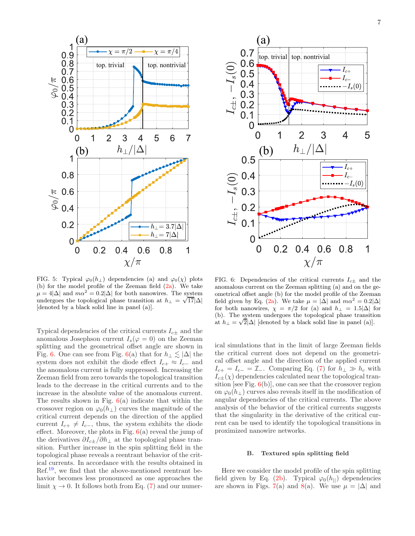<span id="page-6-0"></span>

FIG. 5: Typical  $\varphi_0(h_\perp)$  dependencies (a) and  $\varphi_0(\chi)$  plots (b) for the model profile of the Zeeman field  $(2a)$ . We take  $\mu = 4|\Delta|$  and  $m\alpha^2 = 0.2|\Delta|$  for both nanowires. The system  $\mu$  -  $\frac{1}{|1|}$  and *max*  $\frac{1}{|1|}$  for both halo has transition at  $h_{\perp} = \sqrt{17}|\Delta|$ [denoted by a black solid line in panel (a)].

Typical dependencies of the critical currents  $I_{c\pm}$  and the anomalous Josephson current  $I_s(\varphi = 0)$  on the Zeeman splitting and the geometrical offset angle are shown in Fig. [6.](#page-6-1) One can see from Fig. [6\(](#page-6-1)a) that for  $h_{\perp} \lesssim |\Delta|$  the system does not exhibit the diode effect  $I_{c+} \approx I_{c-}$  and the anomalous current is fully suppressed. Increasing the Zeeman field from zero towards the topological transition leads to the decrease in the critical currents and to the increase in the absolute value of the anomalous current. The results shown in Fig.  $6(a)$  $6(a)$  indicate that within the crossover region on  $\varphi_0(h_{\perp})$  curves the magnitude of the critical current depends on the direction of the applied current  $I_{c+} \neq I_{c-}$ , thus, the system exhibits the diode effect. Moreover, the plots in Fig.  $6(a)$  $6(a)$  reveal the jump of the derivatives  $\partial I_{c\pm}/\partial h_{\perp}$  at the topological phase transition. Further increase in the spin splitting field in the topological phase reveals a reentrant behavior of the critical currents. In accordance with the results obtained in  $Ref<sup>19</sup>$  $Ref<sup>19</sup>$  $Ref<sup>19</sup>$ , we find that the above-mentioned reentrant behavior becomes less pronounced as one approaches the limit  $\chi \to 0$ . It follows both from Eq. [\(7\)](#page-3-4) and our numer-

<span id="page-6-1"></span>

FIG. 6: Dependencies of the critical currents  $I_{c\pm}$  and the anomalous current on the Zeeman splitting (a) and on the geometrical offset angle (b) for the model profile of the Zeeman field given by Eq. [\(2a\)](#page-2-4). We take  $\mu = |\Delta|$  and  $m\alpha^2 = 0.2|\Delta|$ for both nanowires,  $\chi = \pi/2$  for (a) and  $h_{\perp} = 1.5|\Delta|$  for (b). The system undergoes the topological phase transition at  $h_{\perp} = \sqrt{2} |\Delta|$  [denoted by a black solid line in panel (a)].

ical simulations that in the limit of large Zeeman fields the critical current does not depend on the geometrical offset angle and the direction of the applied current  $I_{c+} = I_{c-} = \mathcal{I}_-$ . Comparing Eq. [\(7\)](#page-3-4) for  $h_{\perp} \gg h_c$  with  $I_{c\pm}(\chi)$  dependencies calculated near the topological transition [see Fig.  $6(b)$  $6(b)$ ], one can see that the crossover region on  $\varphi_0(h_\perp)$  curves also reveals itself in the modification of angular dependencies of the critical currents. The above analysis of the behavior of the critical currents suggests that the singularity in the derivative of the critical current can be used to identify the topological transitions in proximized nanowire networks.

### B. Textured spin splitting field

Here we consider the model profile of the spin splitting field given by Eq. [\(2b\)](#page-2-5). Typical  $\varphi_0(h_{\perp})$  dependencies are shown in Figs. [7\(](#page-7-0)a) and [8\(](#page-7-1)a). We use  $\mu = |\Delta|$  and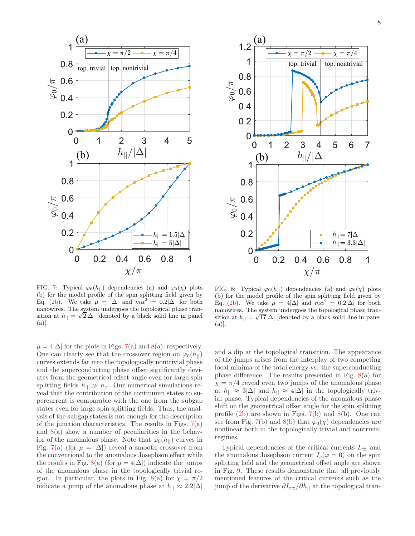<span id="page-7-0"></span>

<span id="page-7-1"></span>

FIG. 7: Typical  $\varphi_0(h_{\parallel})$  dependencies (a) and  $\varphi_0(\chi)$  plots (b) for the model profile of the spin splitting field given by Eq. [\(2b\)](#page-2-5). We take  $\mu = |\Delta|$  and  $m\alpha^2 = 0.2|\Delta|$  for both nanowires. The system undergoes the topological phase transition at  $h_{\parallel} = \sqrt{2} |\Delta|$  [denoted by a black solid line in panel (a)].

 $\mu = 4|\Delta|$  for the plots in Figs. [7\(](#page-7-0)a) and [8\(](#page-7-1)a), respectively. One can clearly see that the crossover region on  $\varphi_0(h_{\perp})$ curves extends far into the topologically nontrivial phase and the superconducting phase offset significantly deviates from the geometrical offset angle even for large spin splitting fields  $h_{\parallel} \gg h_c$ . Our numerical simulations reveal that the contribution of the continuum states to supercurrent is comparable with the one from the subgap states even for large spin splitting fields. Thus, the analysis of the subgap states is not enough for the description of the junction characteristics. The results in Figs.  $7(a)$  $7(a)$ and  $8(a)$  $8(a)$  show a number of peculiarities in the behavior of the anomalous phase. Note that  $\varphi_0(h_{\parallel})$  curves in Fig. [7\(](#page-7-0)a) (for  $\mu = |\Delta|$ ) reveal a smooth crossover from the conventional to the anomalous Josephson effect while the results in Fig. [8\(](#page-7-1)a) (for  $\mu = 4|\Delta|$ ) indicate the jumps of the anomalous phase in the topologically trivial re-gion. In particular, the plots in Fig. [8\(](#page-7-1)a) for  $\chi = \pi/2$ indicate a jump of the anomalous phase at  $h_{\parallel} \approx 2.2|\Delta|$ 

FIG. 8: Typical  $\varphi_0(h_{\perp})$  dependencies (a) and  $\varphi_0(\chi)$  plots (b) for the model profile of the spin splitting field given by Eq. [\(2b\)](#page-2-5). We take  $\mu = 4|\Delta|$  and  $m\alpha^2 = 0.2|\Delta|$  for both nanowires. The system undergoes the topological phase tran- $\frac{1}{\sinh(\pi x)}$  is  $\frac{1}{\sinh(\pi x)}$  [denoted by a black solid line in panel  $(a)$ .

and a dip at the topological transition. The appearance of the jumps arises from the interplay of two competing local minima of the total energy vs. the superconducting phase difference. The results presented in Fig.  $8(a)$  $8(a)$  for  $\chi = \pi/4$  reveal even two jumps of the anomalous phase at  $h_{\parallel} \approx 3|\Delta|$  and  $h_{\parallel} \approx 4|\Delta|$  in the topologically trivial phase. Typical dependencies of the anomalous phase shift on the geometrical offset angle for the spin splitting profile  $(2b)$  are shown in Figs.  $7(b)$  $7(b)$  and  $8(b)$  $8(b)$ . One can see from Fig. [7\(](#page-7-0)b) and [8\(](#page-7-1)b) that  $\varphi_0(\chi)$  dependencies are nonlinear both in the topologically trivial and nontrivial regimes.

Typical dependencies of the critical currents  $I_{c\pm}$  and the anomalous Josephson current  $I_s(\varphi = 0)$  on the spin splitting field and the geometrical offset angle are shown in Fig. [9.](#page-8-2) These results demonstrate that all previously mentioned features of the critical currents such as the jump of the derivative  $\partial I_{c\pm}/\partial h_{||}$  at the topological tran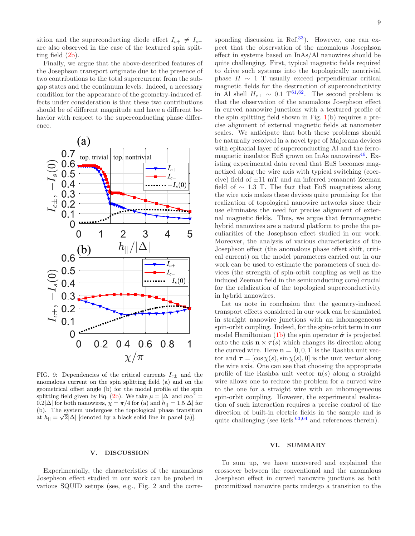sition and the superconducting diode effect  $I_{c+} \neq I_{c-}$ are also observed in the case of the textured spin splitting field [\(2b\)](#page-2-5).

Finally, we argue that the above-described features of the Josephson transport originate due to the presence of two contributions to the total supercurrent from the subgap states and the continuum levels. Indeed, a necessary condition for the appearance of the geometry-induced effects under consideration is that these two contributions should be of different magnitude and have a different behavior with respect to the superconducting phase difference.

<span id="page-8-2"></span>

FIG. 9: Dependencies of the critical currents  $I_{c\pm}$  and the anomalous current on the spin splitting field (a) and on the geometrical offset angle (b) for the model profile of the spin splitting field given by Eq. [\(2b\)](#page-2-5). We take  $\mu = |\Delta|$  and  $m\alpha^2 =$ 0.2| $\Delta$ | for both nanowires,  $\chi = \pi/4$  for (a) and  $h_{||} = 1.5|\Delta|$  for (b). The system undergoes the topological phase transition at  $h_{\parallel} = \sqrt{2} |\Delta|$  [denoted by a black solid line in panel (a)].

sponding discussion in Ref.<sup>[33](#page-11-10)</sup>). However, one can expect that the observation of the anomalous Josephson effect in systems based on InAs/Al nanowires should be quite challenging. First, typical magnetic fields required to drive such systems into the topologically nontrivial phase  $H \sim 1$  T usually exceed perpendicular critical magnetic fields for the destruction of superconductivity in Al shell  $H_{c\perp} \sim 0.1 \text{ T}^{61,62}$  $H_{c\perp} \sim 0.1 \text{ T}^{61,62}$  $H_{c\perp} \sim 0.1 \text{ T}^{61,62}$  $H_{c\perp} \sim 0.1 \text{ T}^{61,62}$ . The second problem is that the observation of the anomalous Josephson effect in curved nanowire junctions with a textured profile of the spin splitting field shown in Fig. [1\(](#page-0-0)b) requires a precise alignment of external magnetic fields at nanometer scales. We anticipate that both these problems should be naturally resolved in a novel type of Majorana devices with epitaxial layer of superconducting Al and the ferromagnetic insulator EuS grown on InAs nanowires $46$ . Existing experimental data reveal that EuS becomes magnetized along the wire axis with typical switching (coercive) field of ±11 mT and an inferred remanent Zeeman field of  $\sim$  1.3 T. The fact that EuS magnetizes along the wire axis makes these devices quite promising for the realization of topological nanowire networks since their use eliminates the need for precise alignment of external magnetic fields. Thus, we argue that ferromagnetic hybrid nanowires are a natural platform to probe the peculiarities of the Josephson effect studied in our work. Moreover, the analysis of various characteristics of the Josephson effect (the anomalous phase offset shift, critical current) on the model parameters carried out in our work can be used to estimate the parameters of such devices (the strength of spin-orbit coupling as well as the induced Zeeman field in the semiconducting core) crucial for the relalization of the topological superconductivity in hybrid nanowires.

Let us note in conclusion that the geomtry-induced transport effects considered in our work can be simulated in straight nanowire junctions with an inhomogeneous spin-orbit coupling. Indeed, for the spin-orbit term in our model Hamiltonian [\(1b\)](#page-1-2) the spin operator  $\hat{\sigma}$  is projected onto the axis  $\mathbf{n} \times \boldsymbol{\tau}(s)$  which changes its direction along the curved wire. Here  $\mathbf{n} = [0, 0, 1]$  is the Rashba unit vector and  $\tau = [\cos \chi(s), \sin \chi(s), 0]$  is the unit vector along the wire axis. One can see that choosing the appropriate profile of the Rashba unit vector  $n(s)$  along a straight wire allows one to reduce the problem for a curved wire to the one for a straight wire with an inhomogeneous spin-orbit coupling. However, the experimental realization of such interaction requires a precise control of the direction of built-in electric fields in the sample and is quite challenging (see Refs. $63,64$  $63,64$  and references therein).

### <span id="page-8-1"></span>VI. SUMMARY

## Experimentally, the characteristics of the anomalous Josephson effect studied in our work can be probed in various SQUID setups (see, e.g., Fig. 2 and the corre-

<span id="page-8-0"></span>V. DISCUSSION

To sum up, we have uncovered and explained the crossover between the conventional and the anomalous Josephson effect in curved nanowire junctions as both proximitized nanowire parts undergo a transition to the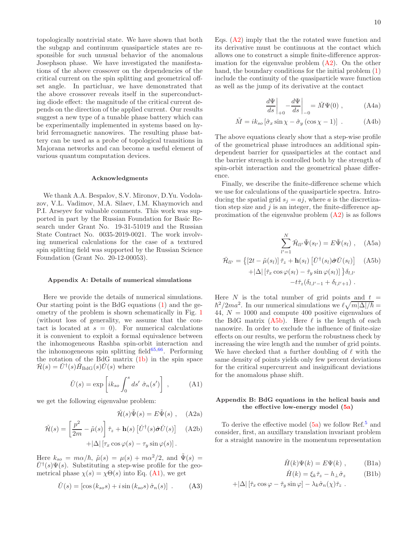topologically nontrivial state. We have shown that both the subgap and continuum quasiparticle states are responsible for such unusual behavior of the anomalous Josephson phase. We have investigated the manifestations of the above crossover on the dependencies of the critical current on the spin splitting and geometrical offset angle. In particluar, we have demonstrated that the above crossover reveals itself in the superconducting diode effect: the magnitude of the critical current depends on the direction of the applied current. Our results suggest a new type of a tunable phase battery which can be experimentally implemented in systems based on hybrid ferromagnetic nanowires. The resulting phase battery can be used as a probe of topological transitions in Majorana networks and can become a useful element of various quantum computation devices.

### Acknowledgments

We thank A.A. Bespalov, S.V. Mironov, D.Yu. Vodolazov, V.L. Vadimov, M.A. Silaev, I.M. Khaymovich and P.I. Arseyev for valuable comments. This work was supported in part by the Russian Foundation for Basic Research under Grant No. 19-31-51019 and the Russian State Contract No. 0035-2019-0021. The work involving numerical calculations for the case of a textured spin splitting field was supported by the Russian Science Foundation (Grant No. 20-12-00053).

#### <span id="page-9-0"></span>Appendix A: Details of numerical simulations

Here we provide the details of numerical simulations. Our starting point is the BdG equations [\(1\)](#page-1-1) and the geometry of the problem is shown schematically in Fig. [1](#page-0-0) (without loss of generality, we assume that the contact is located at  $s = 0$ ). For numerical calculations it is convenient to exploit a formal equivalence between the inhomogeneous Rashba spin-orbit interaction and the inhomogeneous spin splitting field $65,66$  $65,66$ . Performing the rotation of the BdG matrix [\(1b\)](#page-1-2) in the spin space  $\check{\mathcal{H}}(s) = \check{U}^{\dagger}(s) \check{H}_{\text{BdG}}(s) \check{U}(s)$  where

<span id="page-9-2"></span>
$$
\check{U}(s) = \exp\left[ik_{so} \int_0^s ds' \hat{\sigma}_n(s')\right], \quad (A1)
$$

we get the following eigenvalue problem:

<span id="page-9-3"></span>
$$
\check{\mathcal{H}}(s)\tilde{\Psi}(s) = E\tilde{\Psi}(s) , \quad \text{(A2a)}
$$

$$
\tilde{\mathcal{H}}(s) = \left[\frac{p^2}{2m} - \tilde{\mu}(s)\right] \tilde{\tau}_z + \mathbf{h}(s) \left[\tilde{U}^\dagger(s)\hat{\boldsymbol{\sigma}}\tilde{U}(s)\right] \quad \text{(A2b)}
$$

$$
+|\Delta| \left[\tau_x \cos \varphi(s) - \tau_y \sin \varphi(s)\right].
$$

Here  $k_{so} = m\alpha/\hbar$ ,  $\tilde{\mu}(s) = \mu(s) + m\alpha^2/2$ , and  $\tilde{\Psi}(s) =$  $\check{U}^{\dagger}(s)\Psi(s)$ . Substituting a step-wise profile for the geometrical phase  $\chi(s) = \chi \Theta(s)$  into Eq. [\(A1\)](#page-9-2), we get

$$
\check{U}(s) = [\cos(k_{so}s) + i\sin(k_{so}s)\,\hat{\sigma}_n(s)] \tag{A3}
$$

Eqs. [\(A2\)](#page-9-3) imply that the the rotated wave function and its derivative must be continuous at the contact which allows one to construct a simple finite-difference approximation for the eigenvalue problem  $(A2)$ . On the other hand, the boundary conditions for the initial problem  $(1)$ include the continuity of the quasiparticle wave function as well as the jump of its derivative at the contact

$$
\left. \frac{d\Psi}{ds} \right|_{+0} - \frac{d\Psi}{ds} \bigg|_{-0} = \check{M}\Psi(0) , \qquad (A4a)
$$

$$
\check{M} = ik_{so} \left[ \hat{\sigma}_x \sin \chi - \hat{\sigma}_y \left( \cos \chi - 1 \right) \right] \ . \tag{A4b}
$$

The above equations clearly show that a step-wise profile of the geometrical phase introduces an additional spindependent barrier for quasiparticles at the contact and the barrier strength is controlled both by the strength of spin-orbit interaction and the geometrical phase difference.

Finally, we describe the finite-difference scheme which we use for calculations of the quasiparticle spectra. Introducing the spatial grid  $s_i = aj$ , where a is the discretization step size and  $j$  is an integer, the finite-difference approximation of the eigenvalue problem  $(A2)$  is as follows

<span id="page-9-4"></span>
$$
\sum_{l'=1}^{N} \check{\mathcal{H}}_{ll'} \tilde{\Psi}(s_{l'}) = E \tilde{\Psi}(s_l) , \quad \text{(A5a)}
$$

$$
\tilde{\mathcal{H}}_{ll'} = \left\{ \left[ 2t - \tilde{\mu}(s_l) \right] \tilde{\tau}_z + \mathbf{h}(s_l) \left[ \check{U}^\dagger(s_l) \hat{\boldsymbol{\sigma}} \check{U}(s_l) \right] \right\} \tag{A5b} \n+ |\Delta| \left[ \tilde{\tau}_x \cos \varphi(s_l) - \tilde{\tau}_y \sin \varphi(s_l) \right] \right\} \delta_{l,l'} \n- t \tilde{\tau}_z(\delta_{l,l'-1} + \delta_{l,l'+1}).
$$

Here  $N$  is the total number of grid points and  $t =$  $\hbar^2/2ma^2$ . In our numerical simulations we  $\ell\sqrt{m|\Delta|/\hbar} =$ 44,  $N = 1000$  and compute 400 positive eigenvalues of the BdG matrix  $(A5b)$ . Here  $\ell$  is the length of each nanowire. In order to exclude the influence of finite-size effects on our results, we perform the robustness check by increasing the wire length and the number of grid points. We have checked that a further doubling of  $\ell$  with the same density of points yields only few percent deviations for the critical supercurrent and insignificant deviations for the anomalous phase shift.

### <span id="page-9-1"></span>Appendix B: BdG equations in the helical basis and the effective low-energy model [\(5a\)](#page-2-3)

<span id="page-9-5"></span>To derive the effective model  $(5a)$  $(5a)$  $(5a)$  we follow Ref.<sup>5</sup> and consider, first, an auxillary translation invariant problem for a straight nanowire in the momentum representation

$$
\check{H}(k)\Psi(k) = E\Psi(k) , \qquad \text{(B1a)}
$$

$$
\check{H}(k) = \xi_k \check{\tau}_z - h_\perp \hat{\sigma}_z \tag{B1b}
$$

$$
+|\Delta| [\check{\tau}_x \cos \varphi - \check{\tau}_y \sin \varphi] - \lambda_k \hat{\sigma}_n(\chi) \check{\tau}_z .
$$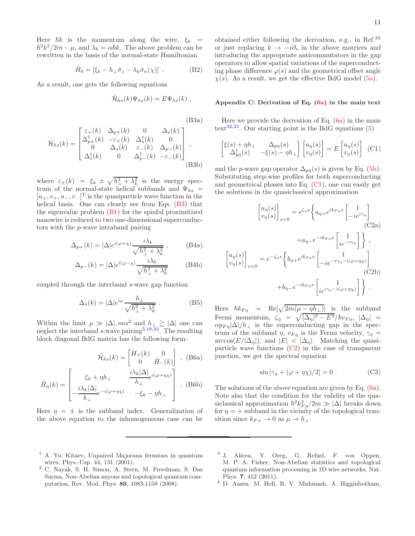Here  $\hbar k$  is the momentum along the wire,  $\xi_k$  =  $\hbar^2 k^2/2m - \mu$ , and  $\lambda_k = \alpha \hbar k$ . The above problem can be rewritten in the basis of the normal-state Hamiltonian

$$
\hat{H}_0 = [\xi_k - h_\perp \hat{\sigma}_z - \lambda_k \hat{\sigma}_n(\chi)] \tag{B2}
$$

As a result, one gets the following equations

$$
\tilde{\mathcal{H}}_{hs}(k)\Psi_{hs}(k) = E\Psi_{hs}(k) ,
$$

<span id="page-10-3"></span> $(D9a)$ 

f

$$
\tilde{\mathcal{H}}_{hs}(k) = \begin{bmatrix}\n\varepsilon_{+}(k) & \Delta_{p+}(k) & 0 & \Delta_{s}(k) \\
\Delta_{p+}^{\dagger}(k) & -\varepsilon_{+}(k) & \Delta_{s}^{\dagger}(k) & 0 \\
0 & \Delta_{s}(k) & \varepsilon_{-}(k) & \Delta_{p-}(k) \\
\Delta_{s}^{\dagger}(k) & 0 & \Delta_{p-}^{\dagger}(k) & -\varepsilon_{-}(k)\n\end{bmatrix},
$$
\n(B3b)

where  $\varepsilon_{\pm}(k) = \xi_k \pm \sqrt{h_{\perp}^2 + \lambda_k^2}$  is the energy spectrum of the normal-state helical subbands and  $\Psi_{hs}$  =  $[u_+, v_+, u_-, v_-]^T$  is the quasiparticle wave function in the helical basis. One can clearly see from Eqs. [\(B3\)](#page-10-3) that the eigenvalue problem [\(B1\)](#page-9-5) for the spinful proximitized nanowire is reduced to two one-dimensional superconductors with the p-wave intraband pairing

$$
\Delta_{p+}(k) = |\Delta|e^{i(\varphi + \chi)} \frac{i\lambda_k}{\sqrt{h_\perp^2 + \lambda_k^2}} , \quad \text{(B4a)}
$$

$$
\Delta_{p-}(k) = |\Delta|e^{i(\varphi - \chi)} \frac{i\lambda_k}{\sqrt{h_{\perp}^2 + \lambda_k^2}} \qquad \text{(B4b)}
$$

coupled through the interband s-wave gap function

$$
\Delta_s(k) = |\Delta|e^{i\varphi}\frac{h_\perp}{\sqrt{h_\perp^2 + \lambda_k^2}}.
$$
 (B5)

Within the limit  $\mu \gg |\Delta|, m\alpha^2$  and  $h_{\perp} \gtrsim |\Delta|$  one can neglect the interband s-wave pairing<sup>[5](#page-11-18)[,19](#page-11-6)[,33](#page-11-10)</sup>. The resulting block diagonal BdG matrix has the following form:

$$
\tilde{\mathcal{H}}_{hs}(k) = \begin{bmatrix} \check{H}_{+}(k) & 0\\ 0 & \check{H}_{-}(k) \end{bmatrix}, \text{ (B6a)}
$$

$$
\check{H}_{\eta}(k) = \begin{bmatrix} \xi_k + \eta h_{\perp} & \frac{i\lambda_k|\Delta|}{h_{\perp}} e^{i(\varphi + \eta \chi)} \\ -\frac{i\lambda_k|\Delta|}{h_{\perp}} e^{-i(\varphi + \eta \chi)} & -\xi_k - \eta h_{\perp} \end{bmatrix} .
$$
 (B6b)

Here  $\eta = \pm$  is the subband index. Generalization of the above equation to the inhomogeneous case can be

obtained either following the derivation, e.g., in Ref.<sup>[33](#page-11-10)</sup> or just replacing  $k \to -i\partial_s$  in the above matrices and introducing the appropriate anticommutators in the gap operators to allow spatial variations of the superconducting phase difference  $\varphi(s)$  and the geometrical offset angle  $\chi(s)$ . As a result, we get the effective BdG model [\(5a\)](#page-2-3).

### <span id="page-10-2"></span>Appendix C: Derivation of Eq.  $(6a)$  in the main text

Here we provide the derivation of Eq.  $(6a)$  in the main text<sup>[32](#page-11-19)[,33](#page-11-10)</sup>. Our starting point is the BdG equations  $(5)$ 

<span id="page-10-4"></span>
$$
\begin{bmatrix} \xi(s) + \eta h_{\perp} & \Delta_{p\eta}(s) \\ \Delta_{p\eta}^{\dagger}(s) & -\xi(s) - \eta h_{\perp} \end{bmatrix} \begin{bmatrix} u_{\eta}(s) \\ v_{\eta}(s) \end{bmatrix} = E \begin{bmatrix} u_{\eta}(s) \\ v_{\eta}(s) \end{bmatrix} \tag{C1}
$$

and the *p*-wave gap operator  $\Delta_{pn}(s)$  is given by Eq. [\(5b\)](#page-2-6). Substituting step-wise profiles for both superconducting and geometrical phases into Eq.  $(C1)$ , one can easily get the solutions in the quasiclassical approximation

<span id="page-10-5"></span>
$$
\begin{bmatrix} u_{\eta}(s) \\ v_{\eta}(s) \end{bmatrix}_{s<0} = e^{\zeta_{\eta}s} \left\{ a_{\eta+} e^{ik_{F\eta}s} \begin{bmatrix} 1 \\ -ie^{i\gamma_{\eta}} \end{bmatrix} \right.
$$
\n
$$
(C2a)
$$
\n
$$
+ a_{\eta-} e^{-ik_{F\eta}s} \begin{bmatrix} 1 \\ ie^{-i\gamma_{\eta}} \end{bmatrix} \right\},
$$
\n
$$
u_{\eta}(s)
$$
\n
$$
v_{\eta}(s)
$$
\n
$$
+ b_{\eta-} e^{-ik_{F\eta}s} \begin{bmatrix} 1 \\ -ie^{-i\gamma_{\eta}-i(\varphi+\eta\chi)} \end{bmatrix}
$$
\n
$$
(C2b)
$$

Here  $\hbar k_{F\eta}$  = Re $[\sqrt{2m(\mu - \eta h_{\perp})}]$  is the subband Fermi momentum,  $\zeta_{\eta} = \sqrt{|\Delta_{\eta}|^2 - E^2}/\hbar v_{F \eta}, |\Delta_{\eta}|$  $\alpha p_{F\eta}|\Delta|/h_{\perp}$  is the superconducting gap in the spectrum of the subband  $\eta$ ,  $v_{F\eta}$  is the Fermi velocity,  $\gamma_{\eta}$  =  $\arccos(E/|\Delta_n|)$ , and  $|E| < |\Delta_n|$ . Matching the quasiparticle wave functions  $(C2)$  in the case of transparent junction, we get the spectral equation

$$
\sin\left[\gamma_{\eta} + (\varphi + \eta \chi)/2\right] = 0. \tag{C3}
$$

The solutions of the above equation are given by Eq. [\(6a\)](#page-3-1). Note also that the condition for the validity of the quasiclassical approximation  $\hbar^2 k_{F\eta}^2/2m \gg |\Delta|$  breaks down for  $\eta = +$  subband in the vicinity of the topological transition since  $k_{F+} \to 0$  as  $\mu \to h_{\perp}$ .

- <span id="page-10-0"></span><sup>1</sup> A. Yu. Kitaev, Unpaired Majorana fermions in quantum wires, Phys.-Usp. 44, 131 (2001).
- <sup>2</sup> C. Nayak, S. H. Simon, A. Stern, M. Freedman, S. Das Sarma, Non-Abelian anyons and topological quantum computation, Rev. Mod. Phys. 80, 1083-1159 (2008).
- <span id="page-10-1"></span>3 J. Alicea, Y. Oreg, G. Refael, F. von Oppen, M. P. A. Fisher, Non-Abelian statistics and topological quantum information processing in 1D wire networks, Nat. Phys. 7, 412 (2011).
- <sup>4</sup> D. Aasen, M. Hell, R. V. Mishmash, A. Higginbotham,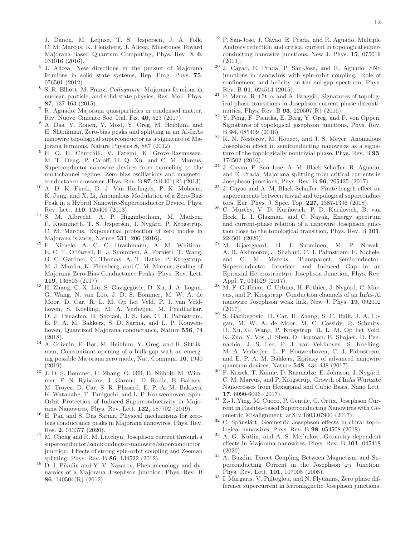J. Danon, M. Leijnse, T. S. Jespersen, J. A. Folk, C. M. Marcus, K. Flensberg, J. Alicea, Milestones Toward Majorana-Based Quantum Computing, Phys. Rev. X 6, 031016 (2016).

- <span id="page-11-18"></span>5 J. Alicea, New directions in the pursuit of Majorana fermions in solid state systems, Rep. Prog. Phys. 75, 076501 (2012).
- <sup>6</sup> S. R. Elliott, M. Franz, *Colloquium*: Majorana fermions in nuclear, particle, and solid-state physics, Rev. Mod. Phys. 87, 137-163 (2015).
- <span id="page-11-0"></span><sup>7</sup> R. Aguado, Majorana quasiparticles in condensed matter, Riv. Nuovo Cimento Soc. Ital. Fis. 40, 523 (2017).
- <span id="page-11-1"></span><sup>8</sup> A. Das, Y. Ronen, Y. Most, Y. Oreg, M. Heiblum, and H. Shtrikman, Zero-bias peaks and splitting in an Al-InAs nanowire topological superconductor as a signature of Majorana fermions, Nature Physics 8, 887 (2012).
- <sup>9</sup> H. O. H. Churchill, V. Fatemi, K. Grove-Rasmussen, M. T. Deng, P. Caroff, H. Q. Xu, and C. M. Marcus, Superconductor-nanowire devices from tunneling to the multichannel regime: Zero-bias oscillations and magnetoconductance crossover, Phys. Rev. B  $87$ ,  $241401(R)$  (2013).
- <sup>10</sup> A. D. K. Finck, D. J. Van Harlingen, P. K. Mohseni, K. Jung, and X. Li, Anomalous Modulation of a Zero-Bias Peak in a Hybrid Nanowire-Superconductor Device, Phys. Rev. Lett. 110, 126406 (2013).
- <sup>11</sup> S. M. Albrecht, A. P. Higginbotham, M. Madsen, F. Kuemmeth, T. S. Jespersen, J. Nygård, P. Krogstrup, C. M. Marcus, Exponential protection of zero modes in Majorana islands, Nature 531, 206 (2016).
- <sup>12</sup> F. Nichele, A. C. C. Drachmann, A. M. Whiticar, E. C. T. O'Farrell, H. J. Suominen, A. Fornieri, T. Wang, G. C. Gardner, C. Thomas, A. T. Hatke, P. Krogstrup, M. J. Manfra, K. Flensberg, and C. M. Marcus, Scaling of Majorana Zero-Bias Conductance Peaks, Phys. Rev. Lett. 119, 136803 (2017).
- <sup>13</sup> H. Zhang, C.-X. Liu, S. Gazigegovic, D. Xu, J. A. Logan, G. Wang, N. van Loo, J. D. S. Bommer, M. W. A. de Moor, D. Car, R. L. M. Op het Veld, P. J. van Veldhoven, S. Koelling, M. A. Verheijen, M. Pendharkar, D. J. Penachio, B. Shojaei, J. S. Lee, C. J. Palmstrøm, E. P. A. M. Bakkers, S. D. Sarma, and L. P. Kouwenhoven, Quantized Majorana conductance, Nature 556, 74 (2018).
- <sup>14</sup> A. Grivnin, E. Bor, M. Heiblum, Y. Oreg, and H. Shtrikman, Concomitant opening of a bulk-gap with an emerging possible Majorana zero mode, Nat. Commun. 10, 1940 (2019).
- <span id="page-11-2"></span> $15$  J. D. S. Bommer, H. Zhang, Ö. Gül, B. Nijholt, M. Wimmer, F. N. Rybakov, J. Garaud, D. Rodic, E. Babaev, M. Troyer, D. Car, S. R. Plissard, E. P. A. M. Bakkers, K. Watanabe, T. Taniguchi, and L. P. Kouwenhoven, Spin-Orbit Protection of Induced Superconductivity in Majorana Nanowires, Phys. Rev. Lett. 122, 187702 (2019).
- <span id="page-11-3"></span> $^{16}$  H. Pan and S. Das Sarma, Physical mechanisms for zerobias conductance peaks in Majorana nanowires, Phys. Rev. Res. 2, 013377 (2020).
- <span id="page-11-4"></span><sup>17</sup> M. Cheng and R. M. Lutchyn, Josephson current through a superconductor/semiconductor-nanowire/superconductor junction: Effects of strong spin-orbit coupling and Zeeman splitting, Phys. Rev. B 86, 134522 (2012).
- <sup>18</sup> D. I. Pikulin and Y. V. Nazarov, Phenomenology and dynamics of a Majorana Josephson junction, Phys. Rev. B 86, 140504(R) (2012).
- <span id="page-11-6"></span><sup>19</sup> P. San-Jose, J. Cayao, E. Prada, and R. Aguado, Multiple Andreev reflection and critical current in topological superconducting nanowire junctions, New J. Phys. 15, 075019 (2013).
- <span id="page-11-12"></span><sup>20</sup> J. Cayao, E. Prada, P. San-Jose, and R. Aguado, SNS junctions in nanowires with spin-orbit coupling: Role of confinement and helicity on the subgap spectrum, Phys. Rev. B 91, 024514 (2015).
- $21$  P. Marra, R. Citro, and A. Braggio, Signatures of topological phase transitions in Josephson current-phase discontinuities, Phys. Rev. B 93, 220507(R) (2016).
- <sup>22</sup> Y. Peng, F. Pientka, E. Berg, Y. Oreg, and F. von Oppen, Signatures of topological josephson junctions, Phys. Rev. B 94, 085409 (2016).
- <span id="page-11-13"></span><sup>23</sup> K. N. Nesterov, M. Houzet, and J. S. Meyer, Anomalous Josephson effect in semiconducting nanowires as a signature of the topologically nontrivial phase, Phys. Rev. B 93, 174502 (2016).
- <span id="page-11-16"></span><sup>24</sup> J. Cayao, P. San-Jose, A. M. Black-Schaffer, R. Aguado, and E. Prada, Majorana splitting from critical currents in Josephson junctions, Phys. Rev. B 96, 205425 (2017).
- <span id="page-11-17"></span><sup>25</sup> J. Cayao and A. M. Black-Schaffer, Finite length effect on supercurrents between trivial and topological superconductors, Eur. Phys. J. Spec. Top. 227, 1387-1396 (2018).
- <span id="page-11-14"></span> $26$  C. Murthy, V. D. Kurilovich, P. D. Kurilovich, B. van Heck, L. I. Glazman, and C. Nayak, Energy spectrum and current-phase relation of a nanowire Josephson junction close to the topological transition, Phys. Rev. B 101, 224501 (2020).
- <sup>27</sup> M. Kjaergaard, H. J. Suominen, M. P. Nowak, A. R. Akhmerov, J. Shabani, C. J. Palmstrøm, F. Nichele, and C. M. Marcus, Transparent Semiconductor-Superconductor Interface and Induced Gap in an Epitaxial Heterostructure Josephson Junction, Phys. Rev. Appl. 7, 034029 (2017).
- <span id="page-11-5"></span><sup>28</sup> M. F. Goffman, C. Urbina, H. Pothier, J. Nygård, C. Marcus, and P. Krogstrup, Conduction channels of an InAs-Al nanowire Josephson weak link, New J. Phys. 19, 092002 (2017).
- <span id="page-11-7"></span><sup>29</sup> S. Gazibegovic, D. Car, H. Zhang, S. C. Balk, J. A. Logan, M. W. A. de Moor, M. C. Cassidy, R. Schmits, D. Xu, G. Wang, P. Krogstrup, R. L. M. Op het Veld, K. Zuo, Y. Vos, J. Shen, D. Bouman, B. Shojaei, D. Pennachio, J. S. Lee, P. J. van Veldhoven, S. Koelling, M. A. Verheijen, L. P. Kouwenhoven, C. J. Palmstrøm, and E. P. A. M. Bakkers, Epitaxy of advanced nanowire quantum devices, Nature 548, 434-438 (2017).
- <span id="page-11-8"></span>30 F. Krizek, T. Kanne, D. Razmadze, E. Johnson, J. Nygård, C. M. Marcus, and P. Krogstrup, Growth of InAs Wurtzite Nanocrosses from Hexagonal and Cubic Basis, Nano Lett. 17, 6090-6096 (2017).
- <span id="page-11-9"></span><sup>31</sup> Z.-J. Ying, M. Cuoco, P. Gentile, C. Ortix, Josephson Current in Rashba-based Superconducting Nanowires with Geometric Misalignment, arXiv:1803.07900 (2017).
- <span id="page-11-19"></span> $32$  C. Spånslätt, Geometric Josephson effects in chiral topological nanowires, Phys. Rev. B 98, 054508 (2018).
- <span id="page-11-10"></span><sup>33</sup> A. G. Kutlin, and A. S. Mel'nikov, Geometry-dependent effects in Majorana nanowires, Phys. Rev. B 101, 045418 (2020).
- <span id="page-11-11"></span><sup>34</sup> A. Buzdin, Direct Coupling Between Magnetism and Superconducting Current in the Josephson  $\varphi_0$  Junction, Phys. Rev. Lett. 101, 107005 (2008).
- <span id="page-11-15"></span><sup>35</sup> I. Margaris, V. Paltoglou, and N. Flytzanis, Zero phase difference supercurrent in ferromagnetic Josephson junctions,